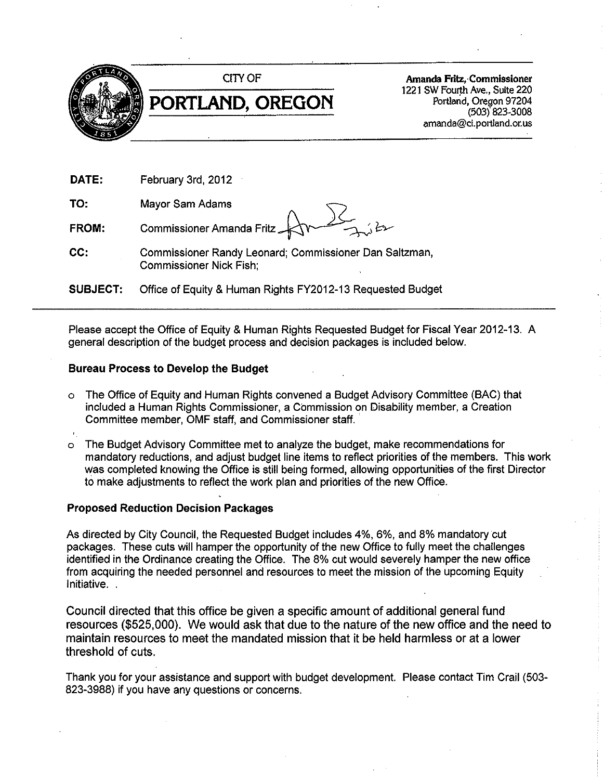

Amanda Fritz, Commissioner 1221 SW Fourth Ave., Suite 220 Portland, Oregon 97204  $(503)$  823-3008 amanda@ci.portland.or.us

| DATE:    | February 3rd, 2012                                                                         |
|----------|--------------------------------------------------------------------------------------------|
| TO:      | Mayor Sam Adams                                                                            |
| FROM:    | Commissioner Amanda Fritz $\bigoplus_{\lambda} \bigotimes_{\lambda} \mathcal{L}_{\lambda}$ |
| CC:      | Commissioner Randy Leonard; Commissioner Dan Saltzman,<br><b>Commissioner Nick Fish:</b>   |
| SUBJECT: | Office of Equity & Human Rights FY2012-13 Requested Budget                                 |

Please accept the Office of Equity & Human Rights Requested Budget for Fiscal Year 2012-13. A general description of the budget process and decision packages is included below.

#### **Bureau Process to Develop the Budget**

- The Office of Equity and Human Rights convened a Budget Advisory Committee (BAC) that  $\circ$ included a Human Rights Commissioner, a Commission on Disability member, a Creation Committee member, OMF staff, and Commissioner staff.
- The Budget Advisory Committee met to analyze the budget, make recommendations for  $\circ$ mandatory reductions, and adjust budget line items to reflect priorities of the members. This work was completed knowing the Office is still being formed, allowing opportunities of the first Director to make adjustments to reflect the work plan and priorities of the new Office.

#### **Proposed Reduction Decision Packages**

As directed by City Council, the Requested Budget includes 4%, 6%, and 8% mandatory cut packages. These cuts will hamper the opportunity of the new Office to fully meet the challenges identified in the Ordinance creating the Office. The 8% cut would severely hamper the new office from acquiring the needed personnel and resources to meet the mission of the upcoming Equity Initiative.

Council directed that this office be given a specific amount of additional general fund resources (\$525,000). We would ask that due to the nature of the new office and the need to maintain resources to meet the mandated mission that it be held harmless or at a lower threshold of cuts.

Thank you for your assistance and support with budget development. Please contact Tim Crail (503-823-3988) if you have any questions or concerns.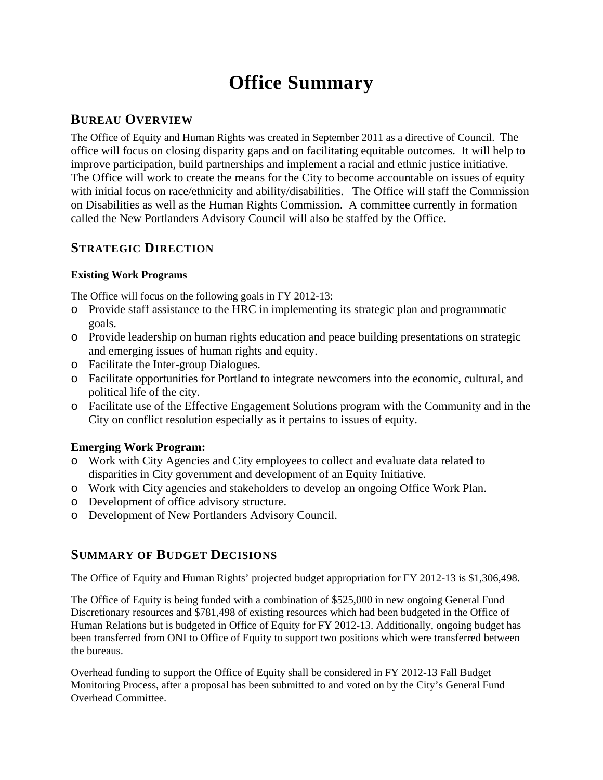## **Office Summary**

## **BUREAU OVERVIEW**

The Office of Equity and Human Rights was created in September 2011 as a directive of Council. The office will focus on closing disparity gaps and on facilitating equitable outcomes. It will help to improve participation, build partnerships and implement a racial and ethnic justice initiative. The Office will work to create the means for the City to become accountable on issues of equity with initial focus on race/ethnicity and ability/disabilities. The Office will staff the Commission on Disabilities as well as the Human Rights Commission. A committee currently in formation called the New Portlanders Advisory Council will also be staffed by the Office.

## **STRATEGIC DIRECTION**

#### **Existing Work Programs**

The Office will focus on the following goals in FY 2012-13:

- o Provide staff assistance to the HRC in implementing its strategic plan and programmatic goals.
- o Provide leadership on human rights education and peace building presentations on strategic and emerging issues of human rights and equity.
- o Facilitate the Inter-group Dialogues.
- o Facilitate opportunities for Portland to integrate newcomers into the economic, cultural, and political life of the city.
- o Facilitate use of the Effective Engagement Solutions program with the Community and in the City on conflict resolution especially as it pertains to issues of equity.

### **Emerging Work Program:**

- o Work with City Agencies and City employees to collect and evaluate data related to disparities in City government and development of an Equity Initiative.
- o Work with City agencies and stakeholders to develop an ongoing Office Work Plan.
- o Development of office advisory structure.
- o Development of New Portlanders Advisory Council.

## **SUMMARY OF BUDGET DECISIONS**

The Office of Equity and Human Rights' projected budget appropriation for FY 2012-13 is \$1,306,498.

The Office of Equity is being funded with a combination of \$525,000 in new ongoing General Fund Discretionary resources and \$781,498 of existing resources which had been budgeted in the Office of Human Relations but is budgeted in Office of Equity for FY 2012-13. Additionally, ongoing budget has been transferred from ONI to Office of Equity to support two positions which were transferred between the bureaus.

Overhead funding to support the Office of Equity shall be considered in FY 2012-13 Fall Budget Monitoring Process, after a proposal has been submitted to and voted on by the City's General Fund Overhead Committee.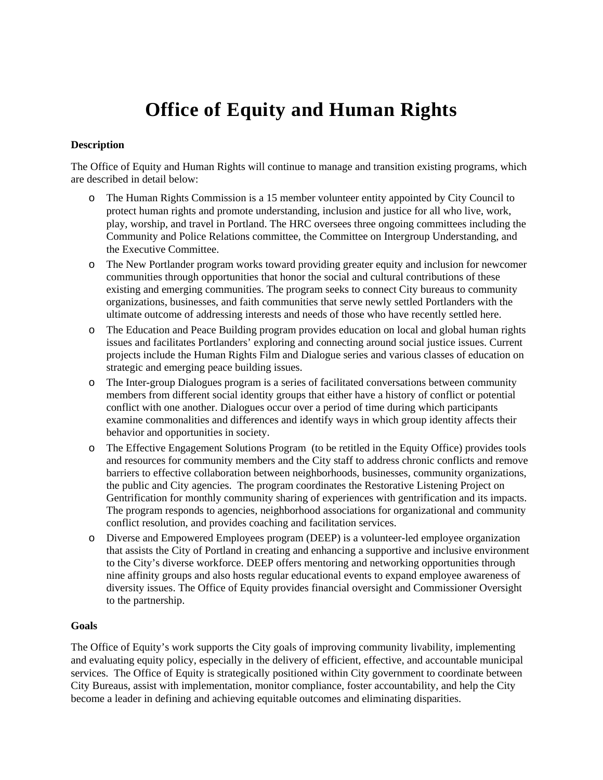# **Office of Equity and Human Rights**

#### **Description**

The Office of Equity and Human Rights will continue to manage and transition existing programs, which are described in detail below:

- The Human Rights Commission is a 15 member volunteer entity appointed by City Council to protect human rights and promote understanding, inclusion and justice for all who live, work, play, worship, and travel in Portland. The HRC oversees three ongoing committees including the Community and Police Relations committee, the Committee on Intergroup Understanding, and the Executive Committee.
- o The New Portlander program works toward providing greater equity and inclusion for newcomer communities through opportunities that honor the social and cultural contributions of these existing and emerging communities. The program seeks to connect City bureaus to community organizations, businesses, and faith communities that serve newly settled Portlanders with the ultimate outcome of addressing interests and needs of those who have recently settled here.
- o The Education and Peace Building program provides education on local and global human rights issues and facilitates Portlanders' exploring and connecting around social justice issues. Current projects include the Human Rights Film and Dialogue series and various classes of education on strategic and emerging peace building issues.
- o The Inter-group Dialogues program is a series of facilitated conversations between community members from different social identity groups that either have a history of conflict or potential conflict with one another. Dialogues occur over a period of time during which participants examine commonalities and differences and identify ways in which group identity affects their behavior and opportunities in society.
- o The Effective Engagement Solutions Program (to be retitled in the Equity Office) provides tools and resources for community members and the City staff to address chronic conflicts and remove barriers to effective collaboration between neighborhoods, businesses, community organizations, the public and City agencies. The program coordinates the Restorative Listening Project on Gentrification for monthly community sharing of experiences with gentrification and its impacts. The program responds to agencies, neighborhood associations for organizational and community conflict resolution, and provides coaching and facilitation services.
- o Diverse and Empowered Employees program (DEEP) is a volunteer-led employee organization that assists the City of Portland in creating and enhancing a supportive and inclusive environment to the City's diverse workforce. DEEP offers mentoring and networking opportunities through nine affinity groups and also hosts regular educational events to expand employee awareness of diversity issues. The Office of Equity provides financial oversight and Commissioner Oversight to the partnership.

#### **Goals**

The Office of Equity's work supports the City goals of improving community livability, implementing and evaluating equity policy, especially in the delivery of efficient, effective, and accountable municipal services. The Office of Equity is strategically positioned within City government to coordinate between City Bureaus, assist with implementation, monitor compliance, foster accountability, and help the City become a leader in defining and achieving equitable outcomes and eliminating disparities.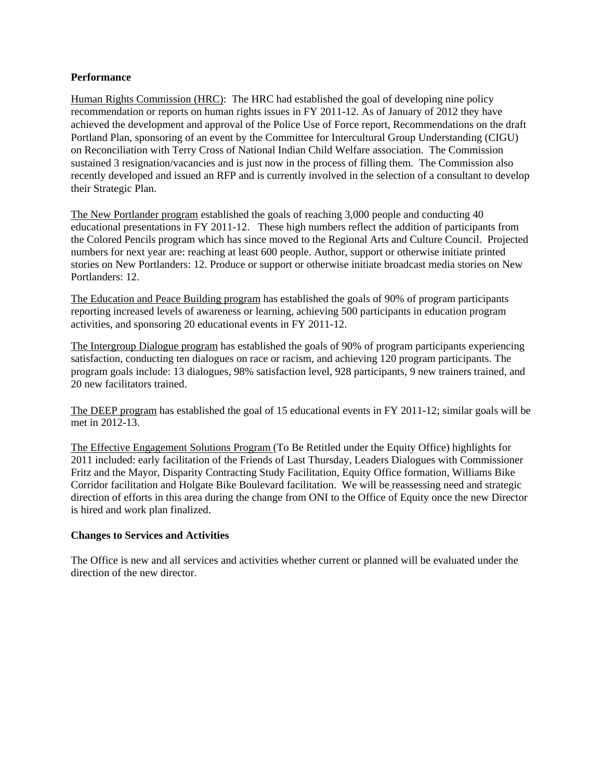#### **Performance**

Human Rights Commission (HRC): The HRC had established the goal of developing nine policy recommendation or reports on human rights issues in FY 2011-12. As of January of 2012 they have achieved the development and approval of the Police Use of Force report, Recommendations on the draft Portland Plan, sponsoring of an event by the Committee for Intercultural Group Understanding (CIGU) on Reconciliation with Terry Cross of National Indian Child Welfare association. The Commission sustained 3 resignation/vacancies and is just now in the process of filling them. The Commission also recently developed and issued an RFP and is currently involved in the selection of a consultant to develop their Strategic Plan.

The New Portlander program established the goals of reaching 3,000 people and conducting 40 educational presentations in FY 2011-12. These high numbers reflect the addition of participants from the Colored Pencils program which has since moved to the Regional Arts and Culture Council. Projected numbers for next year are: reaching at least 600 people. Author, support or otherwise initiate printed stories on New Portlanders: 12. Produce or support or otherwise initiate broadcast media stories on New Portlanders: 12.

The Education and Peace Building program has established the goals of 90% of program participants reporting increased levels of awareness or learning, achieving 500 participants in education program activities, and sponsoring 20 educational events in FY 2011-12.

The Intergroup Dialogue program has established the goals of 90% of program participants experiencing satisfaction, conducting ten dialogues on race or racism, and achieving 120 program participants. The program goals include: 13 dialogues, 98% satisfaction level, 928 participants, 9 new trainers trained, and 20 new facilitators trained.

The DEEP program has established the goal of 15 educational events in FY 2011-12; similar goals will be met in 2012-13.

The Effective Engagement Solutions Program (To Be Retitled under the Equity Office) highlights for 2011 included: early facilitation of the Friends of Last Thursday, Leaders Dialogues with Commissioner Fritz and the Mayor, Disparity Contracting Study Facilitation, Equity Office formation, Williams Bike Corridor facilitation and Holgate Bike Boulevard facilitation. We will be reassessing need and strategic direction of efforts in this area during the change from ONI to the Office of Equity once the new Director is hired and work plan finalized.

#### **Changes to Services and Activities**

The Office is new and all services and activities whether current or planned will be evaluated under the direction of the new director.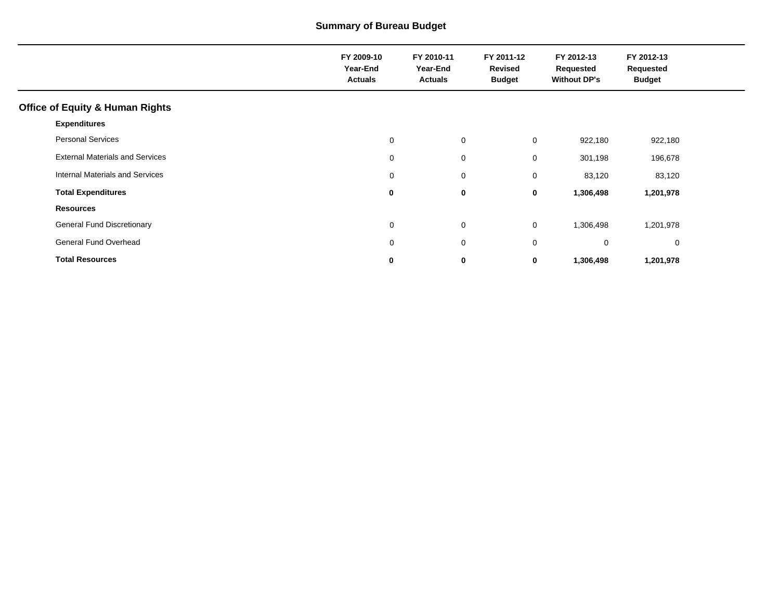## **Summary of Bureau Budget**

|                                            | FY 2009-10<br>Year-End<br><b>Actuals</b> | FY 2010-11<br>Year-End<br><b>Actuals</b> | FY 2011-12<br>Revised<br><b>Budget</b> | FY 2012-13<br>Requested<br><b>Without DP's</b> | FY 2012-13<br>Requested<br><b>Budget</b> |  |
|--------------------------------------------|------------------------------------------|------------------------------------------|----------------------------------------|------------------------------------------------|------------------------------------------|--|
| <b>Office of Equity &amp; Human Rights</b> |                                          |                                          |                                        |                                                |                                          |  |
| <b>Expenditures</b>                        |                                          |                                          |                                        |                                                |                                          |  |
| <b>Personal Services</b>                   | 0                                        | $\mathbf 0$                              | $\mathbf 0$                            | 922,180                                        | 922,180                                  |  |
| <b>External Materials and Services</b>     | 0                                        | $\mathbf 0$                              | $\mathbf 0$                            | 301,198                                        | 196,678                                  |  |
| Internal Materials and Services            | 0                                        | 0                                        | 0                                      | 83,120                                         | 83,120                                   |  |
| <b>Total Expenditures</b>                  | 0                                        | 0                                        | 0                                      | 1,306,498                                      | 1,201,978                                |  |
| <b>Resources</b>                           |                                          |                                          |                                        |                                                |                                          |  |
| <b>General Fund Discretionary</b>          | 0                                        | $\mathbf 0$                              | $\mathbf 0$                            | 1,306,498                                      | 1,201,978                                |  |
| General Fund Overhead                      | 0                                        | 0                                        | $\mathbf 0$                            | $\mathbf 0$                                    | $\mathbf 0$                              |  |
| <b>Total Resources</b>                     | 0                                        | 0                                        | 0                                      | 1,306,498                                      | 1,201,978                                |  |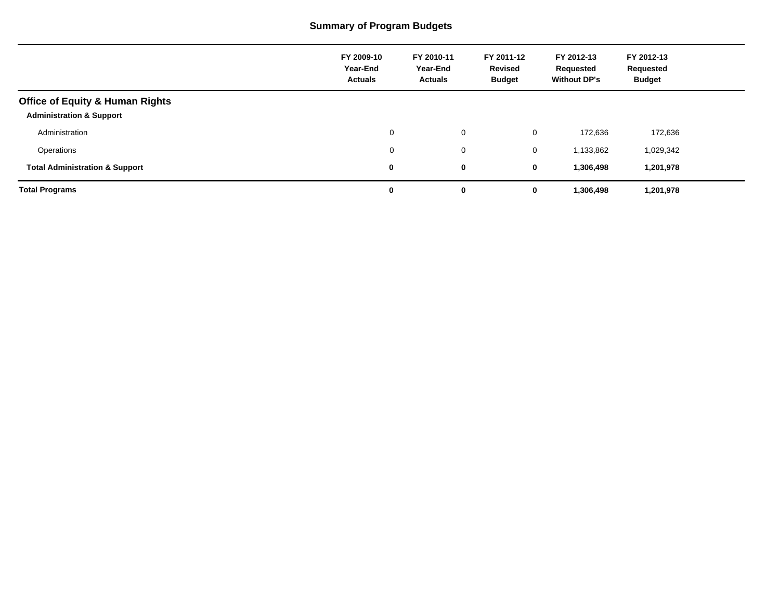## **Summary of Program Budgets**

|                                                                                   | FY 2009-10<br>Year-End<br><b>Actuals</b> | FY 2010-11<br>Year-End<br><b>Actuals</b> | FY 2011-12<br>Revised<br><b>Budget</b> | FY 2012-13<br>Requested<br><b>Without DP's</b> | FY 2012-13<br>Requested<br><b>Budget</b> |
|-----------------------------------------------------------------------------------|------------------------------------------|------------------------------------------|----------------------------------------|------------------------------------------------|------------------------------------------|
| <b>Office of Equity &amp; Human Rights</b><br><b>Administration &amp; Support</b> |                                          |                                          |                                        |                                                |                                          |
| Administration                                                                    | 0                                        | $\mathbf 0$                              | 0                                      | 172,636                                        | 172,636                                  |
| Operations                                                                        | 0                                        | $\mathbf 0$                              | 0                                      | 1,133,862                                      | 1,029,342                                |
| <b>Total Administration &amp; Support</b>                                         | 0                                        | 0                                        | 0                                      | 1,306,498                                      | 1,201,978                                |
| <b>Total Programs</b>                                                             | 0                                        | 0                                        | 0                                      | 1,306,498                                      | 1,201,978                                |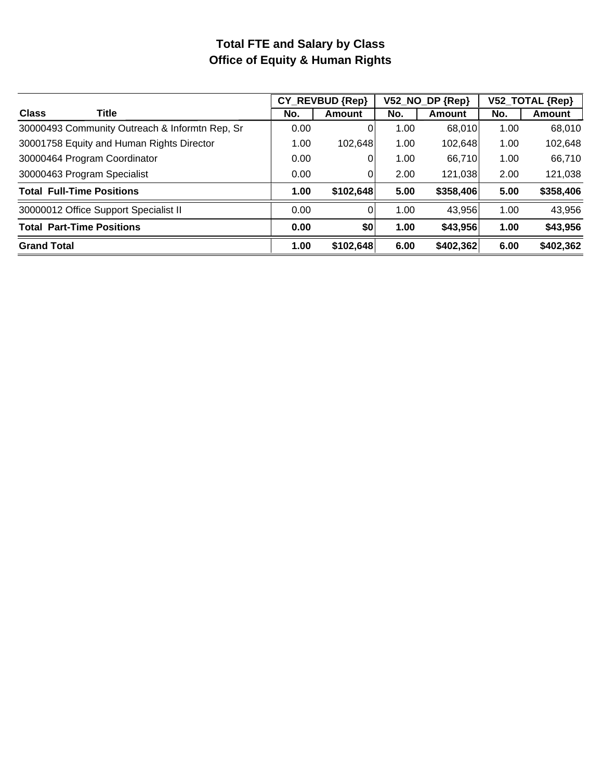## **Total FTE and Salary by Class Office of Equity & Human Rights**

|                                                |      | CY REVBUD {Rep} |      | V52_NO_DP {Rep} | V52_TOTAL {Rep} |           |  |
|------------------------------------------------|------|-----------------|------|-----------------|-----------------|-----------|--|
| <b>Class</b><br>Title                          | No.  | Amount          | No.  | Amount          | No.             | Amount    |  |
| 30000493 Community Outreach & Informtn Rep, Sr | 0.00 | 0               | 1.00 | 68,010          | 1.00            | 68,010    |  |
| 30001758 Equity and Human Rights Director      | 1.00 | 102,648         | 1.00 | 102,648         | 1.00            | 102,648   |  |
| 30000464 Program Coordinator                   | 0.00 | 0               | 1.00 | 66,710          | 1.00            | 66,710    |  |
| 30000463 Program Specialist                    | 0.00 | 0               | 2.00 | 121,038         | 2.00            | 121,038   |  |
| <b>Total Full-Time Positions</b>               | 1.00 | \$102,648       | 5.00 | \$358,406       | 5.00            | \$358,406 |  |
| 30000012 Office Support Specialist II          | 0.00 | 0               | 1.00 | 43,956          | 1.00            | 43,956    |  |
| <b>Total Part-Time Positions</b>               | 0.00 | \$0             | 1.00 | \$43,956        | 1.00            | \$43,956  |  |
| <b>Grand Total</b>                             | 1.00 | \$102,648       | 6.00 | \$402,362       | 6.00            | \$402,362 |  |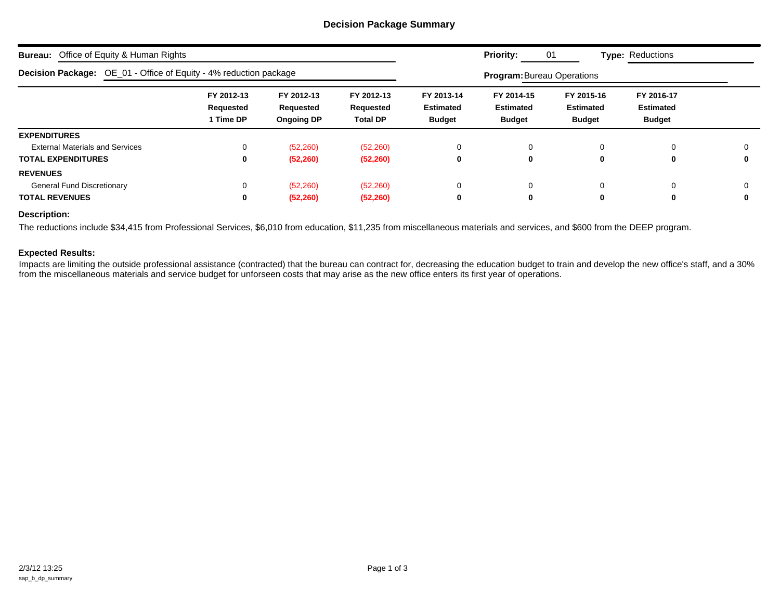#### **Decision Package Summary**

| <b>Bureau:</b><br>Office of Equity & Human Rights                 |                                      |                                              |                                            |                                                 | <b>Priority:</b>                                | 01                                              | <b>Type: Reductions</b>                         |   |
|-------------------------------------------------------------------|--------------------------------------|----------------------------------------------|--------------------------------------------|-------------------------------------------------|-------------------------------------------------|-------------------------------------------------|-------------------------------------------------|---|
| Decision Package: OE_01 - Office of Equity - 4% reduction package |                                      |                                              |                                            |                                                 | <b>Program: Bureau Operations</b>               |                                                 |                                                 |   |
|                                                                   | FY 2012-13<br>Requested<br>1 Time DP | FY 2012-13<br>Requested<br><b>Ongoing DP</b> | FY 2012-13<br>Requested<br><b>Total DP</b> | FY 2013-14<br><b>Estimated</b><br><b>Budget</b> | FY 2014-15<br><b>Estimated</b><br><b>Budget</b> | FY 2015-16<br><b>Estimated</b><br><b>Budget</b> | FY 2016-17<br><b>Estimated</b><br><b>Budget</b> |   |
| <b>EXPENDITURES</b>                                               |                                      |                                              |                                            |                                                 |                                                 |                                                 |                                                 |   |
| <b>External Materials and Services</b>                            | 0                                    | (52, 260)                                    | (52, 260)                                  | 0                                               | 0                                               | $\mathbf 0$                                     | $\Omega$                                        |   |
| <b>TOTAL EXPENDITURES</b>                                         | $\mathbf 0$                          | (52, 260)                                    | (52, 260)                                  | 0                                               | 0                                               | 0                                               | 0                                               | 0 |
| <b>REVENUES</b>                                                   |                                      |                                              |                                            |                                                 |                                                 |                                                 |                                                 |   |
| <b>General Fund Discretionary</b>                                 | 0                                    | (52, 260)                                    | (52, 260)                                  | 0                                               | 0                                               | $\Omega$                                        | $\Omega$                                        |   |
| <b>TOTAL REVENUES</b>                                             | 0                                    | (52, 260)                                    | (52, 260)                                  | 0                                               | 0                                               | 0                                               | $\bf{0}$                                        | 0 |

#### **Description:**

The reductions include \$34,415 from Professional Services, \$6,010 from education, \$11,235 from miscellaneous materials and services, and \$600 from the DEEP program.

#### **Expected Results:**

Impacts are limiting the outside professional assistance (contracted) that the bureau can contract for, decreasing the education budget to train and develop the new office's staff, and a 30% from the miscellaneous materials and service budget for unforseen costs that may arise as the new office enters its first year of operations.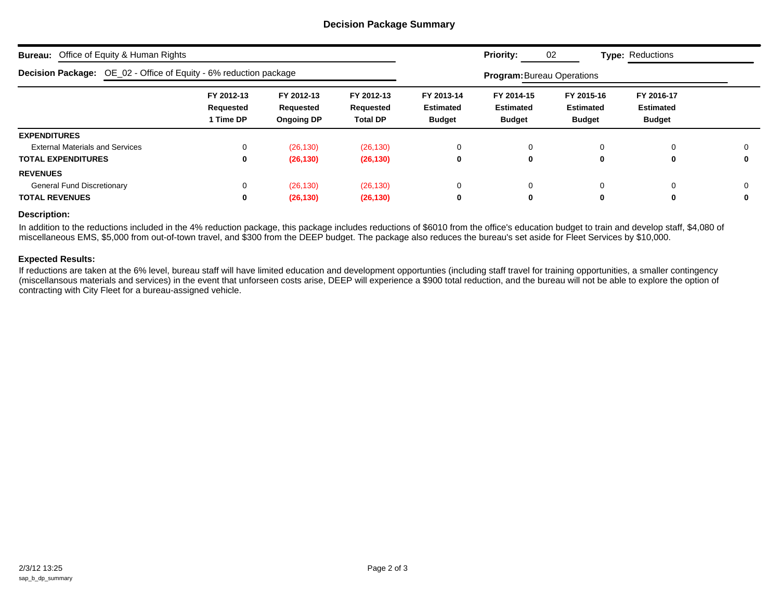#### **Decision Package Summary**

| <b>Bureau:</b> Office of Equity & Human Rights                    |                                                                                                                                    |           |           |   | <b>Priority:</b>                                | 02                                              | <b>Type: Reductions</b>                         |   |
|-------------------------------------------------------------------|------------------------------------------------------------------------------------------------------------------------------------|-----------|-----------|---|-------------------------------------------------|-------------------------------------------------|-------------------------------------------------|---|
| Decision Package: OE_02 - Office of Equity - 6% reduction package |                                                                                                                                    |           |           |   | <b>Program: Bureau Operations</b>               |                                                 |                                                 |   |
|                                                                   | FY 2012-13<br>FY 2012-13<br>FY 2012-13<br>Requested<br>Requested<br>Requested<br>1 Time DP<br><b>Ongoing DP</b><br><b>Total DP</b> |           |           |   | FY 2014-15<br><b>Estimated</b><br><b>Budget</b> | FY 2015-16<br><b>Estimated</b><br><b>Budget</b> | FY 2016-17<br><b>Estimated</b><br><b>Budget</b> |   |
| <b>EXPENDITURES</b>                                               |                                                                                                                                    |           |           |   |                                                 |                                                 |                                                 |   |
| <b>External Materials and Services</b>                            | 0                                                                                                                                  | (26, 130) | (26, 130) | 0 | $\Omega$                                        | 0                                               | 0                                               | 0 |
| <b>TOTAL EXPENDITURES</b>                                         | 0                                                                                                                                  | (26, 130) | (26, 130) | 0 | 0                                               | 0                                               | 0                                               | 0 |
| <b>REVENUES</b>                                                   |                                                                                                                                    |           |           |   |                                                 |                                                 |                                                 |   |
| <b>General Fund Discretionary</b>                                 | 0                                                                                                                                  | (26, 130) | (26, 130) | 0 | $\Omega$                                        |                                                 | 0                                               | 0 |
| <b>TOTAL REVENUES</b>                                             | 0                                                                                                                                  | (26, 130) | (26, 130) | 0 | 0                                               | 0                                               | 0                                               | 0 |

#### **Description:**

In addition to the reductions included in the 4% reduction package, this package includes reductions of \$6010 from the office's education budget to train and develop staff, \$4,080 of miscellaneous EMS, \$5,000 from out-of-town travel, and \$300 from the DEEP budget. The package also reduces the bureau's set aside for Fleet Services by \$10,000.

#### **Expected Results:**

If reductions are taken at the 6% level, bureau staff will have limited education and development opportunties (including staff travel for training opportunities, a smaller contingency (miscellansous materials and services) in the event that unforseen costs arise, DEEP will experience a \$900 total reduction, and the bureau will not be able to explore the option of contracting with City Fleet for a bureau-assigned vehicle.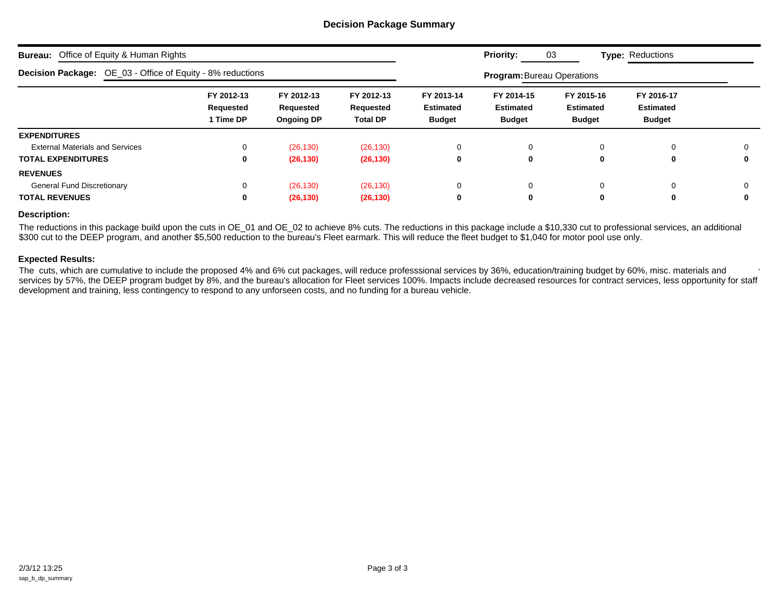#### **Decision Package Summary**

| <b>Bureau:</b> Office of Equity & Human Rights                    |                                      |                                              |                                            |                                                                                                                                                                                                          | <b>Priority:</b>                  | 03       | <b>Type: Reductions</b> |          |  |  |
|-------------------------------------------------------------------|--------------------------------------|----------------------------------------------|--------------------------------------------|----------------------------------------------------------------------------------------------------------------------------------------------------------------------------------------------------------|-----------------------------------|----------|-------------------------|----------|--|--|
| <b>Decision Package:</b> OE_03 - Office of Equity - 8% reductions |                                      |                                              |                                            |                                                                                                                                                                                                          | <b>Program: Bureau Operations</b> |          |                         |          |  |  |
|                                                                   | FY 2012-13<br>Requested<br>1 Time DP | FY 2012-13<br>Requested<br><b>Ongoing DP</b> | FY 2012-13<br>Requested<br><b>Total DP</b> | FY 2014-15<br>FY 2015-16<br>FY 2016-17<br>FY 2013-14<br><b>Estimated</b><br><b>Estimated</b><br><b>Estimated</b><br><b>Estimated</b><br><b>Budget</b><br><b>Budget</b><br><b>Budget</b><br><b>Budget</b> |                                   |          |                         |          |  |  |
| <b>EXPENDITURES</b>                                               |                                      |                                              |                                            |                                                                                                                                                                                                          |                                   |          |                         |          |  |  |
| <b>External Materials and Services</b>                            | $\Omega$                             | (26, 130)                                    | (26, 130)                                  | 0                                                                                                                                                                                                        | $\mathbf 0$                       | $\Omega$ | $\Omega$                | $\Omega$ |  |  |
| <b>TOTAL EXPENDITURES</b>                                         | 0                                    | (26, 130)                                    | (26, 130)                                  | 0                                                                                                                                                                                                        | 0                                 | 0        | 0                       | 0        |  |  |
| <b>REVENUES</b>                                                   |                                      |                                              |                                            |                                                                                                                                                                                                          |                                   |          |                         |          |  |  |
| <b>General Fund Discretionary</b>                                 | 0                                    | (26, 130)                                    | (26, 130)                                  | 0                                                                                                                                                                                                        | $\mathbf 0$                       | $\Omega$ | $\Omega$                | 0        |  |  |
| <b>TOTAL REVENUES</b>                                             | 0                                    | (26, 130)                                    | (26, 130)                                  | 0                                                                                                                                                                                                        | 0                                 | 0        | 0                       | 0        |  |  |

#### **Description:**

The reductions in this package build upon the cuts in OE\_01 and OE\_02 to achieve 8% cuts. The reductions in this package include a \$10,330 cut to professional services, an additional \$300 cut to the DEEP program, and another \$5,500 reduction to the bureau's Fleet earmark. This will reduce the fleet budget to \$1,040 for motor pool use only.

#### **Expected Results:**

The cuts, which are cumulative to include the proposed 4% and 6% cut packages, will reduce professsional services by 36%, education/training budget by 60%, misc. materials and services by 57%, the DEEP program budget by 8%, and the bureau's allocation for Fleet services 100%. Impacts include decreased resources for contract services, less opportunity for staff development and training, less contingency to respond to any unforseen costs, and no funding for a bureau vehicle. T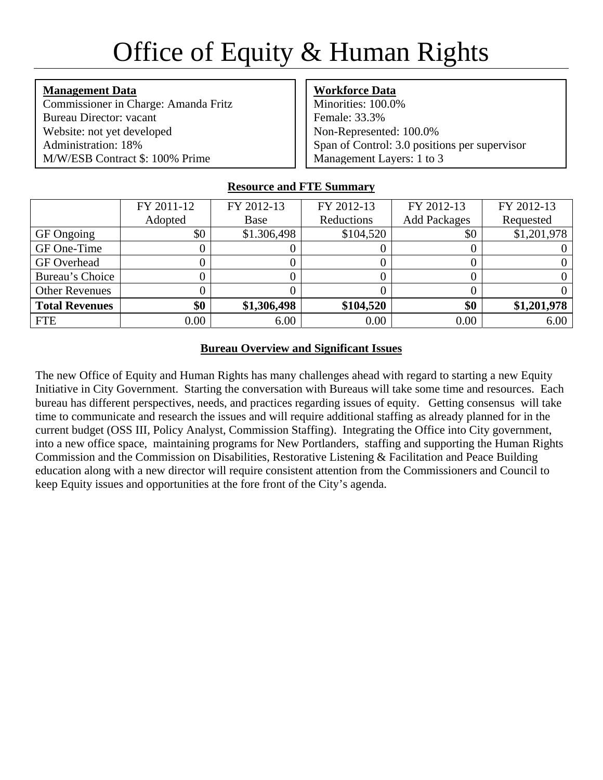# Office of Equity & Human Rights

**Management Data** Commissioner in Charge: Amanda Fritz Bureau Director: vacant Website: not yet developed Administration: 18% M/W/ESB Contract \$: 100% Prime

## **Workforce Data**

Minorities: 100.0% Female: 33.3% Non-Represented: 100.0% Span of Control: 3.0 positions per supervisor Management Layers: 1 to 3

## **Resource and FTE Summary**

|                       | FY 2011-12 | FY 2012-13  | FY 2012-13 | FY 2012-13          | FY 2012-13  |
|-----------------------|------------|-------------|------------|---------------------|-------------|
|                       | Adopted    | Base        | Reductions | <b>Add Packages</b> | Requested   |
| GF Ongoing            | \$0        | \$1.306,498 | \$104,520  | \$0                 | \$1,201,978 |
| GF One-Time           |            |             |            |                     |             |
| <b>GF</b> Overhead    |            |             |            |                     |             |
| Bureau's Choice       |            |             |            |                     |             |
| <b>Other Revenues</b> |            |             |            |                     |             |
| <b>Total Revenues</b> | \$0        | \$1,306,498 | \$104,520  | \$0                 | \$1,201,978 |
| FTE                   | 0.00       | 6.00        | 0.00       | 0.00                | 6.00        |

## **Bureau Overview and Significant Issues**

The new Office of Equity and Human Rights has many challenges ahead with regard to starting a new Equity Initiative in City Government. Starting the conversation with Bureaus will take some time and resources. Each bureau has different perspectives, needs, and practices regarding issues of equity. Getting consensus will take time to communicate and research the issues and will require additional staffing as already planned for in the current budget (OSS III, Policy Analyst, Commission Staffing). Integrating the Office into City government, into a new office space, maintaining programs for New Portlanders, staffing and supporting the Human Rights Commission and the Commission on Disabilities, Restorative Listening & Facilitation and Peace Building education along with a new director will require consistent attention from the Commissioners and Council to keep Equity issues and opportunities at the fore front of the City's agenda.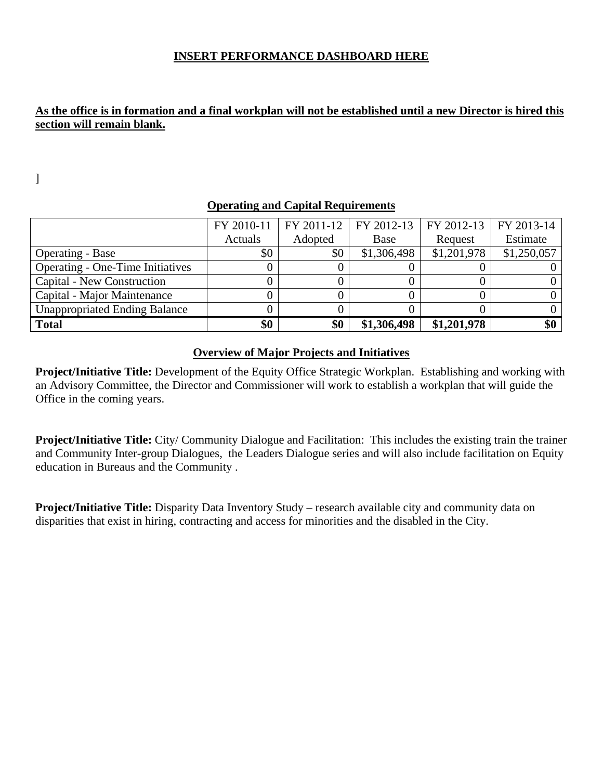## **INSERT PERFORMANCE DASHBOARD HERE**

## **As the office is in formation and a final workplan will not be established until a new Director is hired this section will remain blank.**

]

|                                         | FY 2010-11 | FY 2011-12 | FY 2012-13  | FY 2012-13  | FY 2013-14  |
|-----------------------------------------|------------|------------|-------------|-------------|-------------|
|                                         | Actuals    | Adopted    | Base        | Request     | Estimate    |
| <b>Operating - Base</b>                 | \$0        | \$0        | \$1,306,498 | \$1,201,978 | \$1,250,057 |
| <b>Operating - One-Time Initiatives</b> |            |            |             |             |             |
| <b>Capital - New Construction</b>       |            |            |             |             |             |
| Capital - Major Maintenance             |            |            |             |             |             |
| <b>Unappropriated Ending Balance</b>    |            |            |             |             |             |
| <b>Total</b>                            | \$0        | \$0        | \$1,306,498 | \$1,201,978 | \$0         |

## **Operating and Capital Requirements**

## **Overview of Major Projects and Initiatives**

**Project/Initiative Title:** Development of the Equity Office Strategic Workplan. Establishing and working with an Advisory Committee, the Director and Commissioner will work to establish a workplan that will guide the Office in the coming years.

**Project/Initiative Title:** City/ Community Dialogue and Facilitation: This includes the existing train the trainer and Community Inter-group Dialogues, the Leaders Dialogue series and will also include facilitation on Equity education in Bureaus and the Community .

**Project/Initiative Title:** Disparity Data Inventory Study – research available city and community data on disparities that exist in hiring, contracting and access for minorities and the disabled in the City.